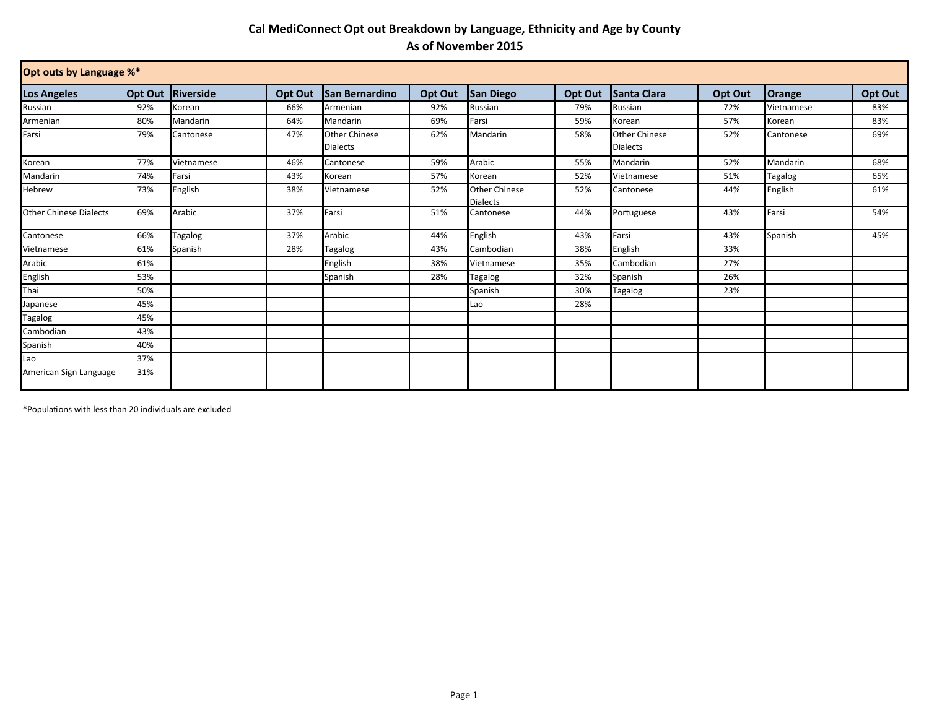## **Cal MediConnect Opt out Breakdown by Language, Ethnicity and Age by County As of November 2015**

| Opt outs by Language %*       |         |            |         |                                         |         |                                         |         |                                         |         |            |         |
|-------------------------------|---------|------------|---------|-----------------------------------------|---------|-----------------------------------------|---------|-----------------------------------------|---------|------------|---------|
| <b>Los Angeles</b>            | Opt Out | Riverside  | Opt Out | <b>San Bernardino</b>                   | Opt Out | <b>San Diego</b>                        | Opt Out | <b>Santa Clara</b>                      | Opt Out | Orange     | Opt Out |
| Russian                       | 92%     | Korean     | 66%     | Armenian                                | 92%     | Russian                                 | 79%     | Russian                                 | 72%     | Vietnamese | 83%     |
| Armenian                      | 80%     | Mandarin   | 64%     | Mandarin                                | 69%     | Farsi                                   | 59%     | Korean                                  | 57%     | Korean     | 83%     |
| Farsi                         | 79%     | Cantonese  | 47%     | <b>Other Chinese</b><br><b>Dialects</b> | 62%     | Mandarin                                | 58%     | <b>Other Chinese</b><br><b>Dialects</b> | 52%     | Cantonese  | 69%     |
| Korean                        | 77%     | Vietnamese | 46%     | Cantonese                               | 59%     | Arabic                                  | 55%     | Mandarin                                | 52%     | Mandarin   | 68%     |
| Mandarin                      | 74%     | Farsi      | 43%     | Korean                                  | 57%     | Korean                                  | 52%     | Vietnamese                              | 51%     | Tagalog    | 65%     |
| Hebrew                        | 73%     | English    | 38%     | Vietnamese                              | 52%     | <b>Other Chinese</b><br><b>Dialects</b> | 52%     | Cantonese                               | 44%     | English    | 61%     |
| <b>Other Chinese Dialects</b> | 69%     | Arabic     | 37%     | Farsi                                   | 51%     | Cantonese                               | 44%     | Portuguese                              | 43%     | Farsi      | 54%     |
| Cantonese                     | 66%     | Tagalog    | 37%     | Arabic                                  | 44%     | English                                 | 43%     | Farsi                                   | 43%     | Spanish    | 45%     |
| Vietnamese                    | 61%     | Spanish    | 28%     | Tagalog                                 | 43%     | Cambodian                               | 38%     | English                                 | 33%     |            |         |
| Arabic                        | 61%     |            |         | English                                 | 38%     | Vietnamese                              | 35%     | Cambodian                               | 27%     |            |         |
| English                       | 53%     |            |         | Spanish                                 | 28%     | Tagalog                                 | 32%     | Spanish                                 | 26%     |            |         |
| Thai                          | 50%     |            |         |                                         |         | Spanish                                 | 30%     | <b>Tagalog</b>                          | 23%     |            |         |
| Japanese                      | 45%     |            |         |                                         |         | Lao                                     | 28%     |                                         |         |            |         |
| Tagalog                       | 45%     |            |         |                                         |         |                                         |         |                                         |         |            |         |
| Cambodian                     | 43%     |            |         |                                         |         |                                         |         |                                         |         |            |         |
| Spanish                       | 40%     |            |         |                                         |         |                                         |         |                                         |         |            |         |
| Lao                           | 37%     |            |         |                                         |         |                                         |         |                                         |         |            |         |
| American Sign Language        | 31%     |            |         |                                         |         |                                         |         |                                         |         |            |         |

\*Populations with less than 20 individuals are excluded